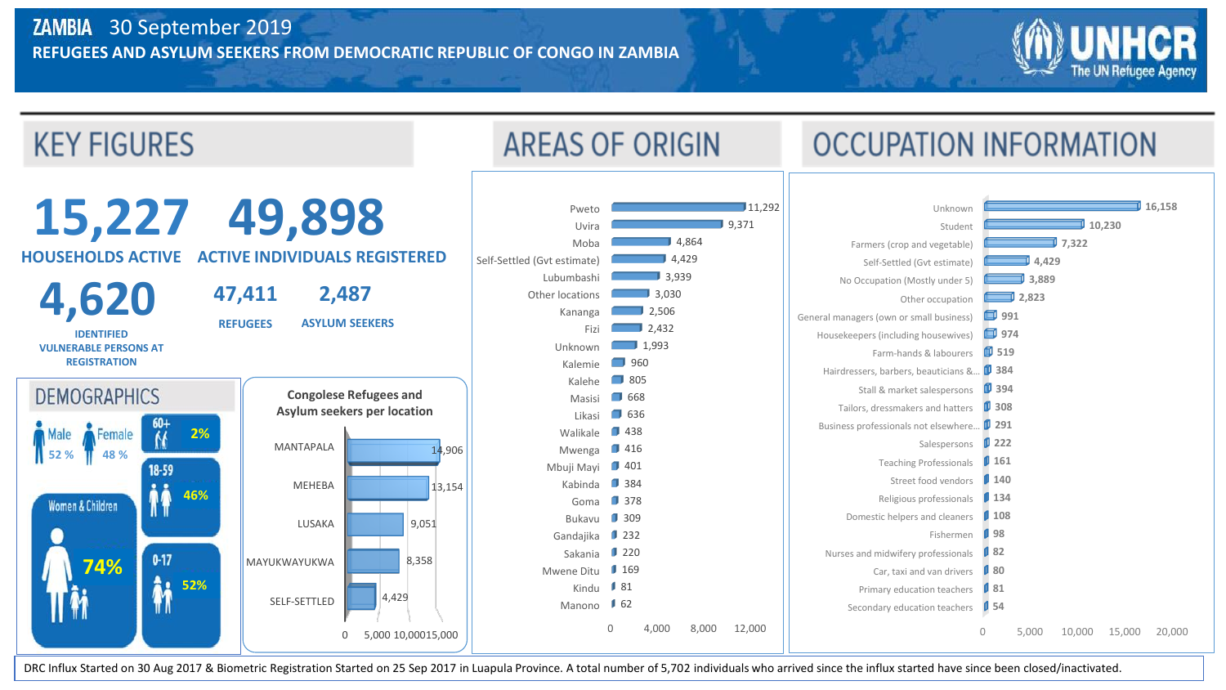

DRC Influx Started on 30 Aug 2017 & Biometric Registration Started on 25 Sep 2017 in Luapula Province. A total number of 5,702 individuals who arrived since the influx started have since been closed/inactivated.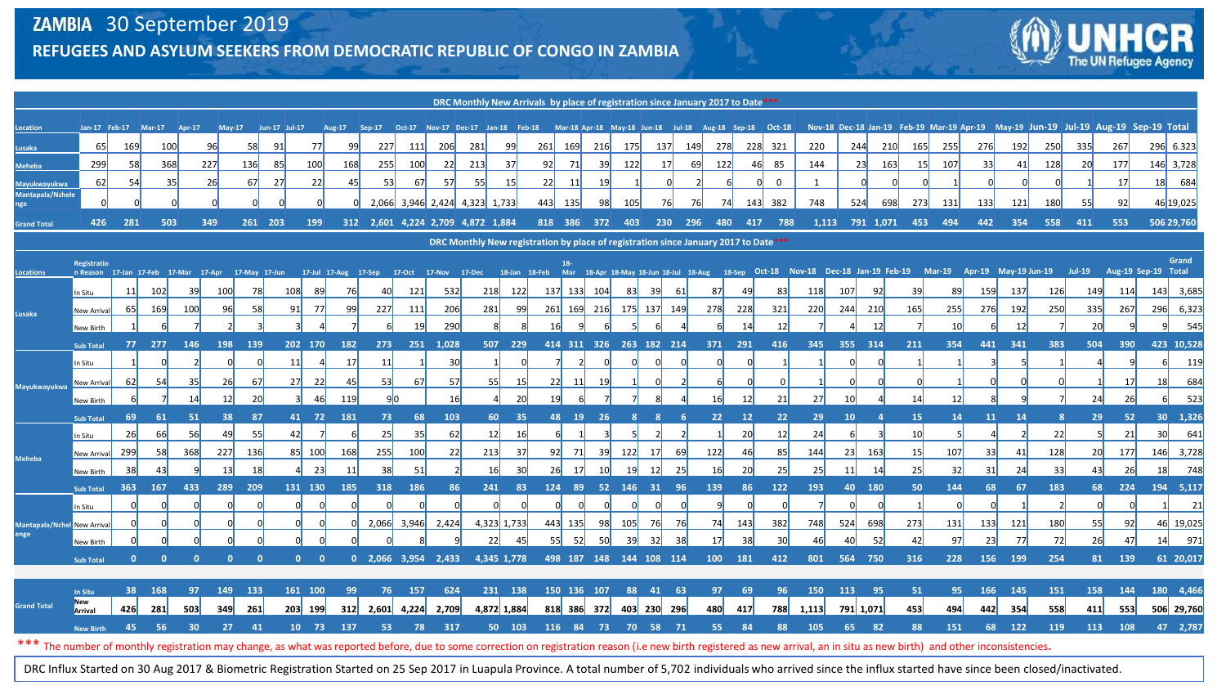

| DRC Monthly New Arrivals by place of registration since January 2017 to Date***                                                                                                                                             |                                                                                                                                                                                                                                                                           |                      |        |                 |                 |              |                      |             |           |                                                                                                          |                               |            |     |                |     |          |                         |            |           |            |                 |         |          |            |                 |                        |                         |           |            |            |            |            |            |                                                                                    |
|-----------------------------------------------------------------------------------------------------------------------------------------------------------------------------------------------------------------------------|---------------------------------------------------------------------------------------------------------------------------------------------------------------------------------------------------------------------------------------------------------------------------|----------------------|--------|-----------------|-----------------|--------------|----------------------|-------------|-----------|----------------------------------------------------------------------------------------------------------|-------------------------------|------------|-----|----------------|-----|----------|-------------------------|------------|-----------|------------|-----------------|---------|----------|------------|-----------------|------------------------|-------------------------|-----------|------------|------------|------------|------------|------------|------------------------------------------------------------------------------------|
| Location                                                                                                                                                                                                                    |                                                                                                                                                                                                                                                                           | Jan-17 Feb-17 Mar-17 |        | Apr-17          |                 |              | May-17 Jun-17 Jul-17 |             |           | Aug-17 Sep-17 Oct-17 Nov-17 Dec-17 Jan-18 Feb-18 Mar-18 Apr-18 May-18 Jun-18 Jul-18 Aug-18 Sep-18 Oct-18 |                               |            |     |                |     |          |                         |            |           |            |                 |         |          |            |                 |                        |                         |           |            |            |            |            |            | Nov-18 Dec-18 Jan-19 Feb-19 Mar-19 Apr-19 May-19 Jun-19 Jul-19 Aug-19 Sep-19 Total |
| Lusaka                                                                                                                                                                                                                      | 65                                                                                                                                                                                                                                                                        | 169                  | 100    |                 | 96              | 58           | 91                   | 77          | 99        | 227                                                                                                      | 111                           | <b>206</b> | 281 | 99             | 261 | 169      | 216                     | 175        | 137       | <b>149</b> | <b>278</b>      |         | 228 321  | 220        | 244             | 210                    | 165                     | 255       | 276        | 192        | 250        | 335        | 267        | 296 6.323                                                                          |
| <b>Meheba</b>                                                                                                                                                                                                               | 299                                                                                                                                                                                                                                                                       | 58                   | 368    | 227             |                 | 136          | 85                   | 100         | 168       | 255                                                                                                      | 100                           | 22         | 213 | 37             | 92  | - 71     | 39                      | 122        | 17        |            | 69<br>122       |         | 85<br>46 | 144        | 23              | 163                    | 15                      | 107       | 33         | 41         | 128        | 20         | 177        | 146 3,728                                                                          |
| <b>Mayukwayukwa</b>                                                                                                                                                                                                         | 62                                                                                                                                                                                                                                                                        | 54                   | 35     |                 | 26              | 67           | 27                   | 22          | 45        | 53                                                                                                       | 67                            | 57         | 55  | 15             | 22  | 11       | 19                      |            |           |            |                 |         | $\Omega$ | 1          |                 |                        |                         |           |            |            |            |            | 17         | 18 684                                                                             |
| <b>Mantapala/Nchele</b><br>nge                                                                                                                                                                                              |                                                                                                                                                                                                                                                                           |                      |        |                 | $\Omega$        |              |                      |             |           |                                                                                                          | 2,066 3,946 2,424 4,323 1,733 |            |     |                | 443 | 135      | 98                      | <b>105</b> |           | 76         | 74<br><b>76</b> | 143     | 382      | 748        | 524             | 698                    | 273                     | 131       | 133        | 121        | 180        | 55         | 92         | 46 19,025                                                                          |
| <b>Grand Total</b>                                                                                                                                                                                                          | 426                                                                                                                                                                                                                                                                       | 281                  | 503    | 349             |                 | 261 203      |                      | 199         |           | 312 2,601 4,224 2,709 4,872 1,884                                                                        |                               |            |     |                |     |          | 818 386 372             | 403        |           | 230 296    | 480             |         | 417 788  |            |                 |                        | 1,113 791 1,071 453 494 |           | 442        | 354        | 558        | 411        | 553        | 506 29,760                                                                         |
| <b>DRC Monthly New registration by place of registration since January 2017 to Date ***</b>                                                                                                                                 |                                                                                                                                                                                                                                                                           |                      |        |                 |                 |              |                      |             |           |                                                                                                          |                               |            |     |                |     |          |                         |            |           |            |                 |         |          |            |                 |                        |                         |           |            |            |            |            |            |                                                                                    |
|                                                                                                                                                                                                                             | Grand<br>Registratio<br>18 <sub>1</sub><br>n Reason 17-Jan 17-Feb 17-Mar 17-Apr 17-May 17-Jun 17-Jul 17-Aug 17-Sep 17-Oct 17-Nov 17-Dec 18-Jan 18-Feb Mar 18-Apr 18-May 18-Jun 18-Jul 18-Aug 18-Sep Oct-18 Nov-18 Dec-18 Jan-19 Feb-19 Mar-19 Apr-19 Jul-19 Jul-19 Aug-19 |                      |        |                 |                 |              |                      |             |           |                                                                                                          |                               |            |     |                |     |          |                         |            |           |            |                 |         |          |            |                 |                        |                         |           |            |            |            |            |            |                                                                                    |
| <b>Locations</b>                                                                                                                                                                                                            |                                                                                                                                                                                                                                                                           |                      |        |                 |                 |              |                      |             |           |                                                                                                          |                               |            |     |                |     |          |                         |            |           |            |                 |         |          |            |                 |                        |                         |           |            |            |            |            |            |                                                                                    |
| Lusaka                                                                                                                                                                                                                      | In Situ                                                                                                                                                                                                                                                                   | 11                   | 102    | 39              | 100             | 78           | 108                  | 89          | <b>76</b> | 40                                                                                                       | 121                           | 532        | 218 | 122            |     | 137 133  | 104                     | 831        | -391      | -61        | 87              | 49      | 83       | <b>118</b> | 107             | 92                     | -39                     | 89        | 159        | <b>137</b> | <b>126</b> | <b>149</b> | <b>114</b> | 143 3,685                                                                          |
|                                                                                                                                                                                                                             | New Arrival                                                                                                                                                                                                                                                               | 65                   | 169    | 100             | 96              | 58           | 91                   | -77         | 99        | 227                                                                                                      | 111                           | 206        | 281 | 99             |     | 261 169  | 216                     |            | 175 137   | <b>149</b> | 278             | 228     | 321      | 220        | 244             | 210                    | 165                     | 255       | 276        | 192        | 250        | 335        | 267        | 6,323<br>296                                                                       |
|                                                                                                                                                                                                                             | New Birth                                                                                                                                                                                                                                                                 |                      |        |                 |                 |              |                      |             |           |                                                                                                          | 19                            | 290        |     |                |     |          |                         |            |           |            |                 | 14      | 12       |            |                 | 12                     |                         | 10        |            | 12         |            | 20         |            | 545                                                                                |
| Mayukwayukwa                                                                                                                                                                                                                | <b>Sub Total</b>                                                                                                                                                                                                                                                          | $77 -$               | 277    | 146             | 198             | 139          |                      | 202 170     | 182       | 273                                                                                                      |                               | 251 1,028  |     | 507 229        |     |          | 414 311 326 263 182 214 |            |           |            | 371             | 291     | 416      | 345        | 355 314         |                        | 211                     | 354       | 441        | 341        | 383        | 504        | 390        | 423 10,528                                                                         |
|                                                                                                                                                                                                                             | In Situ                                                                                                                                                                                                                                                                   |                      |        |                 |                 |              | 11                   |             | 17        | 11                                                                                                       |                               | 30         |     |                |     |          |                         |            |           |            |                 |         |          |            |                 |                        |                         |           |            |            |            |            |            | 119                                                                                |
|                                                                                                                                                                                                                             | New Arrival                                                                                                                                                                                                                                                               | 62                   | 54     | 35              | 26              | 67           | 27                   | 22          | 45        | 53                                                                                                       | 67                            | 57         |     | 55<br>-15      | 22  | - 11     |                         |            |           |            |                 |         |          |            |                 |                        |                         |           |            |            |            |            | 17         | 684<br>18                                                                          |
|                                                                                                                                                                                                                             | New Birth                                                                                                                                                                                                                                                                 |                      |        | 14              | 12              | 20           | 3 <sup>1</sup>       | 46          | 119       | 90                                                                                                       |                               | <b>16</b>  |     | $\Delta$<br>20 | 19  |          |                         |            |           |            | 16              | 12      | 21       | 27         | 10              |                        | 14                      | 12        |            |            |            | 24         | 26         | 523                                                                                |
|                                                                                                                                                                                                                             | <b>Sub Total</b>                                                                                                                                                                                                                                                          | 69                   | 61     | 51              | 38              | 87           |                      | 41 72 181   |           | 73                                                                                                       | 68                            | 103        |     | 60<br>$-35$    |     | 48 19 26 |                         | -8         | -8        | -6         | 22              | 12      | 22       | 29         | 10 <sup>°</sup> | $\boldsymbol{\Lambda}$ | 15                      | 14        | 11         | 14         | -8         | 29         | 52         | 30 1,326                                                                           |
|                                                                                                                                                                                                                             | In Situ                                                                                                                                                                                                                                                                   | 26                   | 66     | 56              | 49              | 55           | 42                   |             |           | 25                                                                                                       | 35                            | 62         |     | 12<br>-16      |     |          |                         |            |           |            |                 | 20      | 12       | 24         |                 |                        | 10                      |           |            |            | 22         |            | 21         | 30 <sup>l</sup><br>641                                                             |
| <b>Meheba</b>                                                                                                                                                                                                               | New Arrival                                                                                                                                                                                                                                                               | 299                  | 58     | 368             | 227             | 136          |                      | 85 100      | 168       | 255                                                                                                      | 100                           | 22         | 213 | -37            | 92  | - 71     | 39                      | 122        | -17       |            | 122             | 46      | 85       | 144        | 23              | 163                    | 15                      | 107       | 33         | 41         | 128        | <b>20</b>  | 177        | 146 3,728                                                                          |
|                                                                                                                                                                                                                             | New Birth                                                                                                                                                                                                                                                                 | 38                   | 43     |                 | 13 <sup>l</sup> | 18           |                      | 23          | 11        | 38                                                                                                       | 51                            |            | 16  |                | 26  |          |                         |            | 12        |            | 16              | 20      | 25       | 25         |                 | -14                    | 25                      | 32        | 31         | 24         | 33         | 43         | 26         | 748                                                                                |
|                                                                                                                                                                                                                             | <b>Sub Total</b>                                                                                                                                                                                                                                                          | 363                  | 167    | 433             | 289             | 209          |                      | 131 130     | 185       | 318                                                                                                      | 186                           | 86         | 241 | 83             |     |          | 124 89 52 146           |            | 31        | -96        | 139             | 86      | 122      | 193        | 40              | 180                    | 50                      | 144       | 68         | 67         | 183        | 68         | 224        | 194 5,117                                                                          |
|                                                                                                                                                                                                                             | In Situ                                                                                                                                                                                                                                                                   |                      |        |                 |                 |              |                      |             |           | 2,066 3,946 2,424                                                                                        |                               |            |     | 4,323 1,733    |     | 443 135  | 98                      | 105        | <b>76</b> |            | 74              | 143     | 382      | 748        | 524             | 698                    | 273                     |           | 133        | 121        | 180        | 55         | 92         | 21<br>46 19,025                                                                    |
| <b>Mantapala/Nchel New Arrival</b><br>enge                                                                                                                                                                                  |                                                                                                                                                                                                                                                                           |                      |        |                 |                 |              |                      |             |           |                                                                                                          |                               |            |     | 22<br>-45      | 55  | 52       | 50                      | -39        | -321      | 76<br>-38  | 17              | 38      | 30       | 46         | 40              | 52                     | 42                      | 131<br>97 | 23         | 77         | 72         | 26         | 47         | 971<br>14                                                                          |
|                                                                                                                                                                                                                             | New Birth<br><b>Sub Total</b>                                                                                                                                                                                                                                             | $\mathbf{0}$         | - 0    | $\Omega$        | $\mathbf{0}$    | $\mathbf{0}$ |                      | $0 \quad 0$ |           | 0 2,066 3,954 2,433 4,345 1,778                                                                          |                               |            |     |                |     |          | 498 187 148 144 108 114 |            |           |            |                 | 100 181 | 412      |            | 801 564 750     |                        | 316                     | 228       |            | 156 199    | 254        | 81         | 139        | 61 20,017                                                                          |
|                                                                                                                                                                                                                             |                                                                                                                                                                                                                                                                           |                      |        |                 |                 |              |                      |             |           |                                                                                                          |                               |            |     |                |     |          |                         |            |           |            |                 |         |          |            |                 |                        |                         |           |            |            |            |            |            |                                                                                    |
|                                                                                                                                                                                                                             | In Situ                                                                                                                                                                                                                                                                   |                      | 38 168 | 97              | 149             | 133          |                      | 161 100     | -99       |                                                                                                          | 76 157                        | 624        |     | 231 138        |     |          | 150 136 107             |            | 88 41 63  |            | 97              | -69     | 96       | <b>150</b> | 113 95          |                        | 51                      | 95        | <b>166</b> | 145        | 151        | 158        | 144        | 180 4,466                                                                          |
| <b>Grand Total</b>                                                                                                                                                                                                          | <b>New</b><br>Arrival                                                                                                                                                                                                                                                     | 426                  | 281    | 503             | 349             | 261          |                      | 203 199     |           | 312 2,601 4,224 2,709                                                                                    |                               |            |     | 4,872 1,884    |     |          | 818 386 372 403 230 296 |            |           |            | 480             | 417     | 788      | 1,113      | 791 1,071       |                        | 453                     | 494       | 442        | 354        | 558        | 411        | 553        | 506 29,760                                                                         |
|                                                                                                                                                                                                                             | <b>New Birth</b>                                                                                                                                                                                                                                                          | 45                   | -56    | 30 <sub>2</sub> | 27 <sub>2</sub> | $-41$        |                      | 10 73       | 137       | 53                                                                                                       | - 78                          | 317        |     | 50 103         |     |          | 116 84 73 70 58 71      |            |           |            | 55              | 84      | 88       | 105        | 65              | 82                     | 88                      | 151       |            | 68 122     | 119        | 113        | 108        | 47 2,787                                                                           |
| *** The number of monthly registration may change, as what was reported before, due to some correction on registration reason (i.e new birth registered as new arrival, an in situ as new birth) and other inconsistencies. |                                                                                                                                                                                                                                                                           |                      |        |                 |                 |              |                      |             |           |                                                                                                          |                               |            |     |                |     |          |                         |            |           |            |                 |         |          |            |                 |                        |                         |           |            |            |            |            |            |                                                                                    |

DRC Influx Started on 30 Aug 2017 & Biometric Registration Started on 25 Sep 2017 in Luapula Province. A total number of 5,702 individuals who arrived since the influx started have since been closed/inactivated.